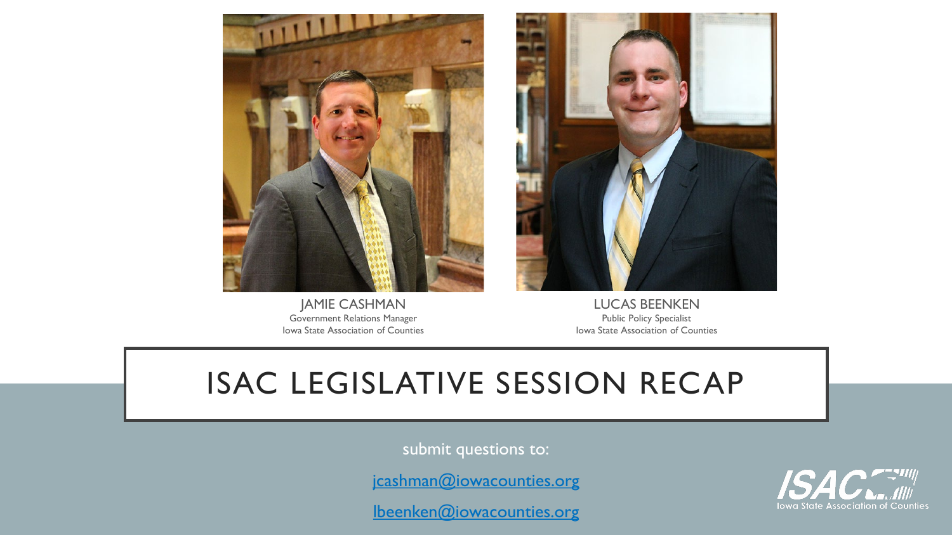

JAMIE CASHMAN Government Relations Manager Iowa State Association of Counties



LUCAS BEENKEN Public Policy Specialist Iowa State Association of Counties

### ISAC LEGISLATIVE SESSION RECAP

submit questions to:

[jcashman@iowacounties.org](mailto:jcashman@iowacounties.org)

[lbeenken@iowacounties.org](mailto:lbeenken@iowacounties.org)

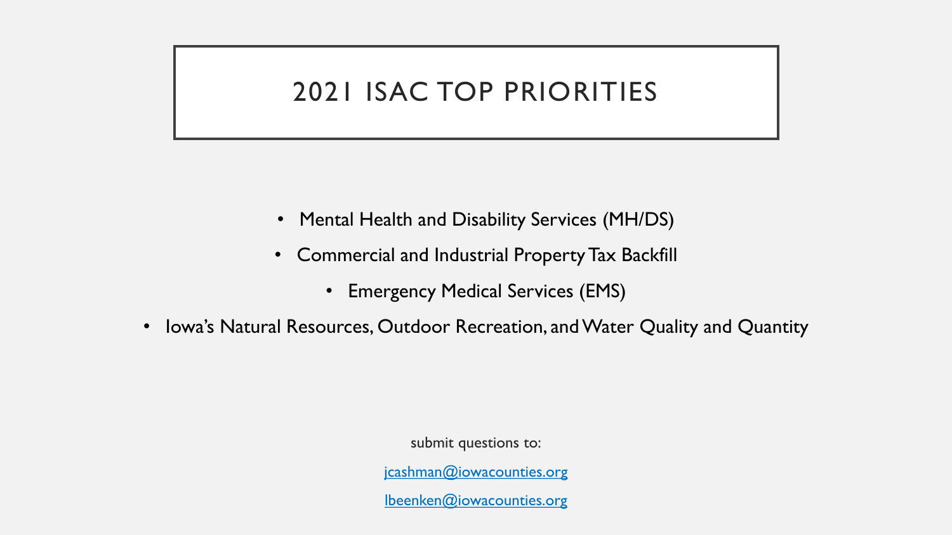### 2021 ISAC TOP PRIORITIES

- Mental Health and Disability Services (MH/DS)
- Commercial and Industrial Property Tax Backfill
	- Emergency Medical Services (EMS)
- Iowa's Natural Resources, Outdoor Recreation, and Water Quality and Quantity

submit questions to:

[jcashman@iowacounties.org](mailto:jcashman@iowacounties.org)

[lbeenken@iowacounties.org](mailto:lbeenken@iowacounties.org)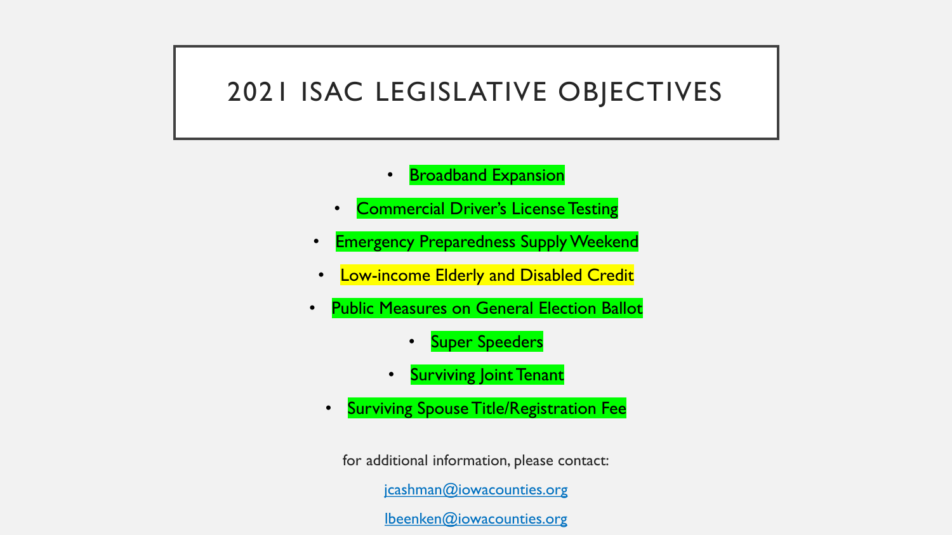#### 2021 ISAC LEGISLATIVE OBJECTIVES

#### • Broadband Expansion

- Commercial Driver's License Testing
- Emergency Preparedness Supply Weekend
- Low-income Elderly and Disabled Credit
- Public Measures on General Election Ballot
	- Super Speeders
	- Surviving Joint Tenant
	- Surviving Spouse Title/Registration Fee

for additional information, please contact: [jcashman@iowacounties.org](mailto:jcashman@iowacounties.org) [lbeenken@iowacounties.org](mailto:lbeenken@iowacounties.org)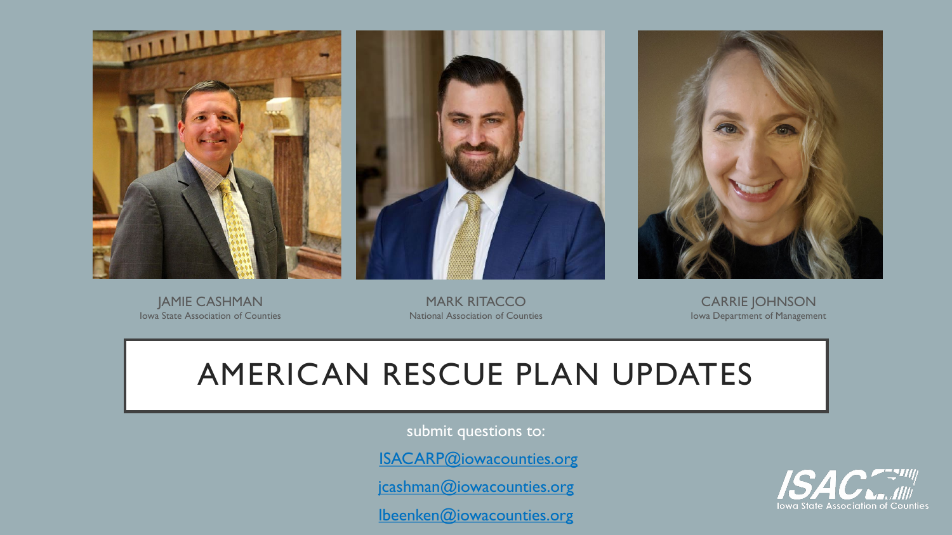



JAMIE CASHMAN Iowa State Association of Counties

**MARK RITACCO** National Association of Counties



CARRIE JOHNSON Iowa Department of Management

# AMERICAN RESCUE PLAN UPDATES

submit questions to:

[ISACARP@iowacounties.org](mailto:ISACARP@iowacounties.org)

[jcashman@iowacounties.org](mailto:jcashman@iowacounties.org)

[lbeenken@iowacounties.org](mailto:lbeenken@iowacounties.org)